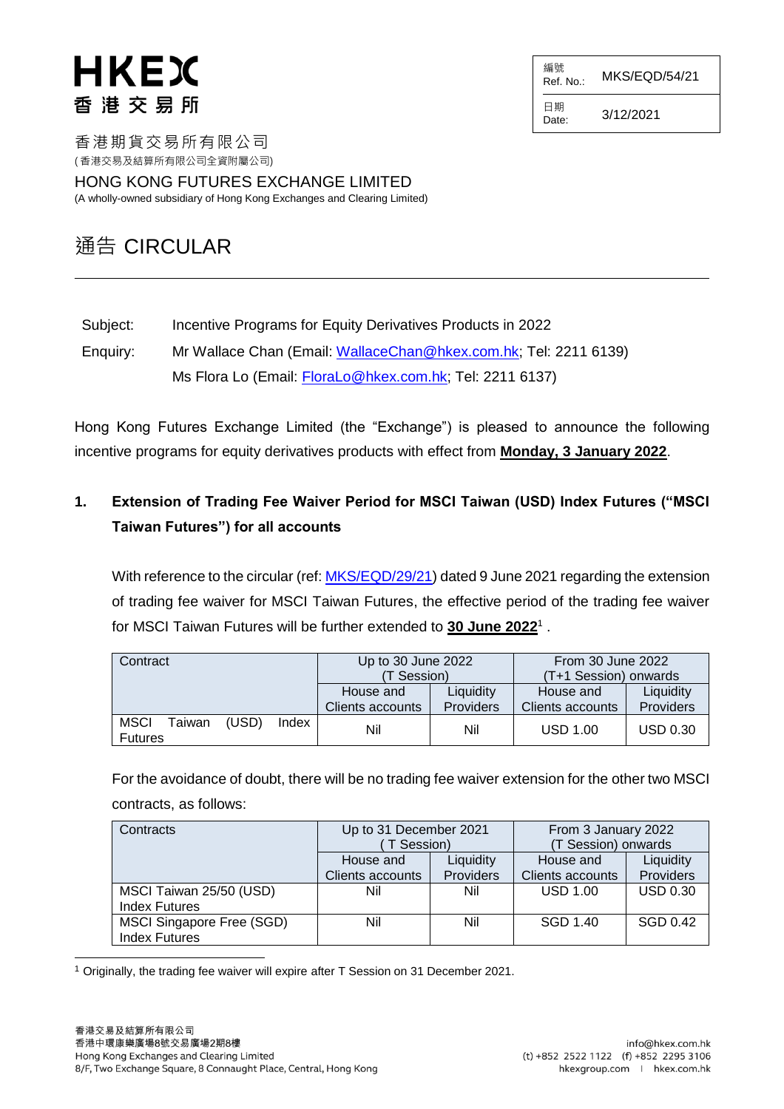編號  $R$ ef. No.: MKS/EQD/54/21

日期  $D \text{ are}$ : 3/12/2021

香港期貨交易所有限公司 ( 香港交易及結算所有限公司全資附屬公司)

HONG KONG FUTURES EXCHANGE LIMITED (A wholly-owned subsidiary of Hong Kong Exchanges and Clearing Limited)

## 通告 CIRCULAR

Subject: Incentive Programs for Equity Derivatives Products in 2022

Enquiry: Mr Wallace Chan (Email: [WallaceChan@hkex.com.hk;](mailto:WallaceChan@hkex.com.hk) Tel: 2211 6139) Ms Flora Lo (Email: [FloraLo@hkex.com.hk;](mailto:FloraLo@hkex.com.hk) Tel: 2211 6137)

Hong Kong Futures Exchange Limited (the "Exchange") is pleased to announce the following incentive programs for equity derivatives products with effect from **Monday, 3 January 2022**.

## **1. Extension of Trading Fee Waiver Period for MSCI Taiwan (USD) Index Futures ("MSCI Taiwan Futures") for all accounts**

With reference to the circular (ref: [MKS/EQD/29/21\)](https://www.hkex.com.hk/-/media/HKEX-Market/Services/Circulars-and-Notices/Participant-and-Members-Circulars/HKFE/2021/MKS_EQD_29_21_e.pdf) dated 9 June 2021 regarding the extension of trading fee waiver for MSCI Taiwan Futures, the effective period of the trading fee waiver for MSCI Taiwan Futures will be further extended to **30 June 2022**<sup>1</sup> .

| Contract                                |                | Up to 30 June 2022<br>(T Session) |                               | <b>From 30 June 2022</b><br>(T+1 Session) onwards |                        |
|-----------------------------------------|----------------|-----------------------------------|-------------------------------|---------------------------------------------------|------------------------|
|                                         |                | House and<br>Clients accounts     | Liquidity<br><b>Providers</b> | House and<br>Clients accounts                     | Liquidity<br>Providers |
| <b>MSCI</b><br>Taiwan<br><b>Futures</b> | (USD)<br>Index | Nil                               | Nil                           | <b>USD 1.00</b>                                   | <b>USD 0.30</b>        |

For the avoidance of doubt, there will be no trading fee waiver extension for the other two MSCI contracts, as follows:

| Contracts                 | Up to 31 December 2021<br>T Session) |                  | From 3 January 2022<br>(T Session) onwards |                 |
|---------------------------|--------------------------------------|------------------|--------------------------------------------|-----------------|
|                           | Liquidity<br>House and               |                  | House and                                  | Liquidity       |
|                           | <b>Clients accounts</b>              | <b>Providers</b> | <b>Clients accounts</b>                    | Providers       |
| MSCI Taiwan 25/50 (USD)   | Nil                                  | Nil              | <b>USD 1.00</b>                            | <b>USD 0.30</b> |
| <b>Index Futures</b>      |                                      |                  |                                            |                 |
| MSCI Singapore Free (SGD) | Nil                                  | Nil              | SGD 1.40                                   | SGD 0.42        |
| <b>Index Futures</b>      |                                      |                  |                                            |                 |

l <sup>1</sup> Originally, the trading fee waiver will expire after T Session on 31 December 2021.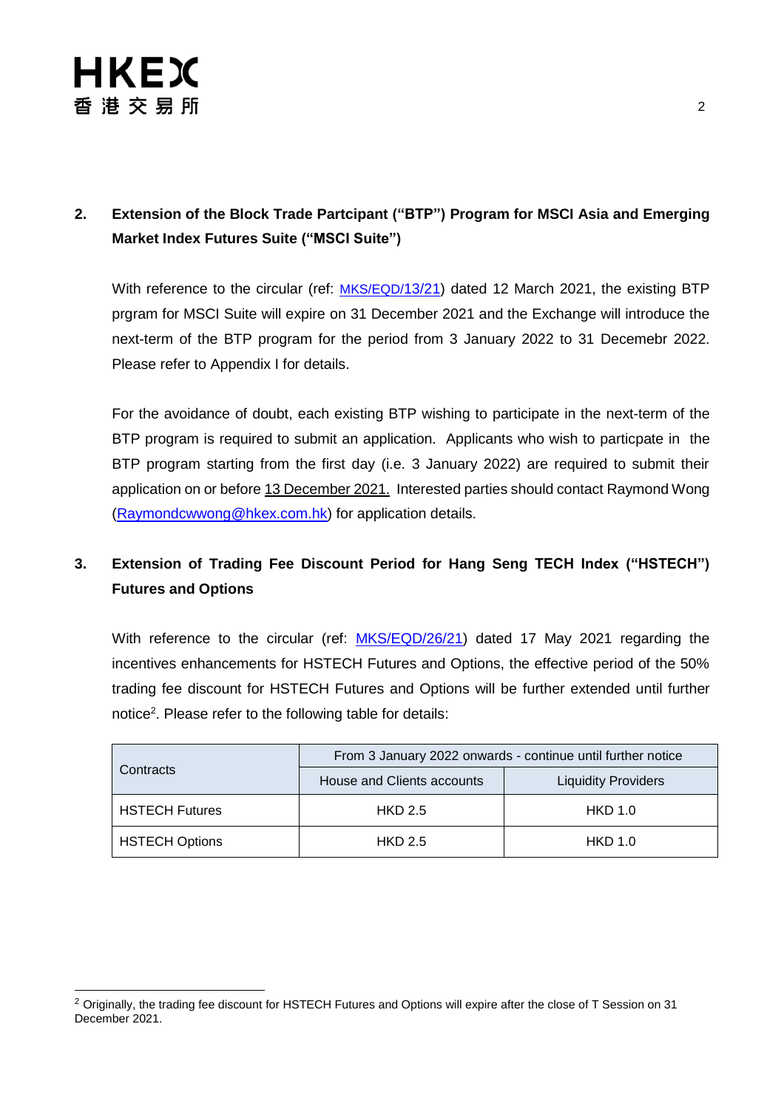

### **2. Extension of the Block Trade Partcipant ("BTP") Program for MSCI Asia and Emerging Market Index Futures Suite ("MSCI Suite")**

With reference to the circular (ref: [MKS/EQD/](https://www.hkex.com.hk/-/media/HKEX-Market/Services/Circulars-and-Notices/Participant-and-Members-Circulars/HKFE/2021/MKS_EQD_13_21_e.pdf)13/21) dated 12 March 2021, the existing BTP prgram for MSCI Suite will expire on 31 December 2021 and the Exchange will introduce the next-term of the BTP program for the period from 3 January 2022 to 31 Decemebr 2022. Please refer to Appendix I for details.

For the avoidance of doubt, each existing BTP wishing to participate in the next-term of the BTP program is required to submit an application. Applicants who wish to particpate in the BTP program starting from the first day (i.e. 3 January 2022) are required to submit their application on or before 13 December 2021. Interested parties should contact Raymond Wong [\(Raymondcwwong@hkex.com.hk\)](file://///Soaf1031/MDTS/EQD/$International%20Taskforce/MSCI%20suite/10.%20Circular/20211118%20draft%20incentives%20renewal%20circular/Raymondcwwong@hkex.com.hk) for application details.

## **3. Extension of Trading Fee Discount Period for Hang Seng TECH Index ("HSTECH") Futures and Options**

With reference to the circular (ref: [MKS/EQD/26/21\)](https://www.hkex.com.hk/-/media/HKEX-Market/Services/Circulars-and-Notices/Participant-and-Members-Circulars/HKFE/2021/MKS_EQD_26_21_e.pdf) dated 17 May 2021 regarding the incentives enhancements for HSTECH Futures and Options, the effective period of the 50% trading fee discount for HSTECH Futures and Options will be further extended until further notice<sup>2</sup>. Please refer to the following table for details:

|                       | From 3 January 2022 onwards - continue until further notice |                            |  |
|-----------------------|-------------------------------------------------------------|----------------------------|--|
| Contracts             | House and Clients accounts                                  | <b>Liquidity Providers</b> |  |
| <b>HSTECH Futures</b> | <b>HKD 2.5</b>                                              | <b>HKD 1.0</b>             |  |
| <b>HSTECH Options</b> | <b>HKD 2.5</b>                                              | <b>HKD 1.0</b>             |  |

<sup>&</sup>lt;sup>2</sup> Originally, the trading fee discount for HSTECH Futures and Options will expire after the close of T Session on 31 December 2021.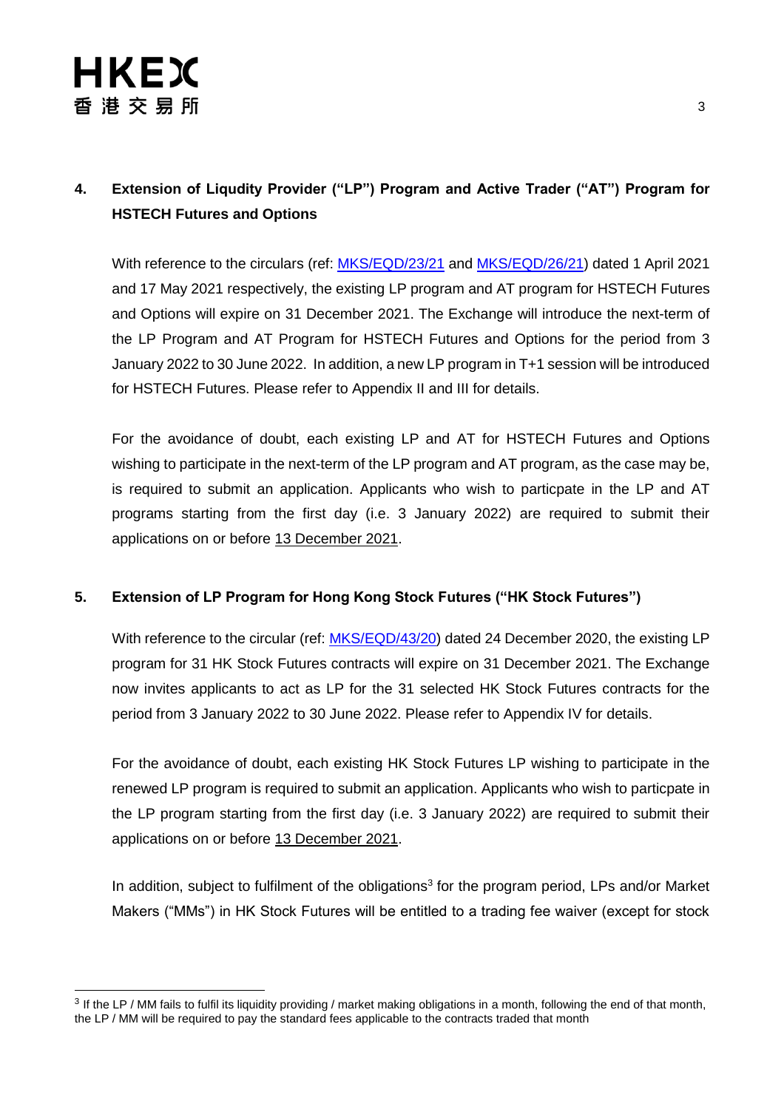## **4. Extension of Liqudity Provider ("LP") Program and Active Trader ("AT") Program for HSTECH Futures and Options**

With reference to the circulars (ref: [MKS/EQD/23/21](https://www.hkex.com.hk/-/media/HKEX-Market/Services/Circulars-and-Notices/Participant-and-Members-Circulars/HKFE/2021/MKS_EQD_23_21_e.pdf) and [MKS/EQD/26/21\)](https://www.hkex.com.hk/-/media/HKEX-Market/Services/Circulars-and-Notices/Participant-and-Members-Circulars/HKFE/2021/MKS_EQD_26_21_e.pdf) dated 1 April 2021 and 17 May 2021 respectively, the existing LP program and AT program for HSTECH Futures and Options will expire on 31 December 2021. The Exchange will introduce the next-term of the LP Program and AT Program for HSTECH Futures and Options for the period from 3 January 2022 to 30 June 2022. In addition, a new LP program in T+1 session will be introduced for HSTECH Futures. Please refer to Appendix II and III for details.

For the avoidance of doubt, each existing LP and AT for HSTECH Futures and Options wishing to participate in the next-term of the LP program and AT program, as the case may be, is required to submit an application. Applicants who wish to particpate in the LP and AT programs starting from the first day (i.e. 3 January 2022) are required to submit their applications on or before 13 December 2021.

#### **5. Extension of LP Program for Hong Kong Stock Futures ("HK Stock Futures")**

With reference to the circular (ref: [MKS/EQD/43/20\)](https://www.hkex.com.hk/-/media/HKEX-Market/Services/Circulars-and-Notices/Participant-and-Members-Circulars/HKFE/2020/MKS_EQD_43_20_e.pdf) dated 24 December 2020, the existing LP program for 31 HK Stock Futures contracts will expire on 31 December 2021. The Exchange now invites applicants to act as LP for the 31 selected HK Stock Futures contracts for the period from 3 January 2022 to 30 June 2022. Please refer to Appendix IV for details.

For the avoidance of doubt, each existing HK Stock Futures LP wishing to participate in the renewed LP program is required to submit an application. Applicants who wish to particpate in the LP program starting from the first day (i.e. 3 January 2022) are required to submit their applications on or before 13 December 2021.

In addition, subject to fulfilment of the obligations<sup>3</sup> for the program period, LPs and/or Market Makers ("MMs") in HK Stock Futures will be entitled to a trading fee waiver (except for stock

<sup>&</sup>lt;sup>3</sup> If the LP / MM fails to fulfil its liquidity providing / market making obligations in a month, following the end of that month, the LP / MM will be required to pay the standard fees applicable to the contracts traded that month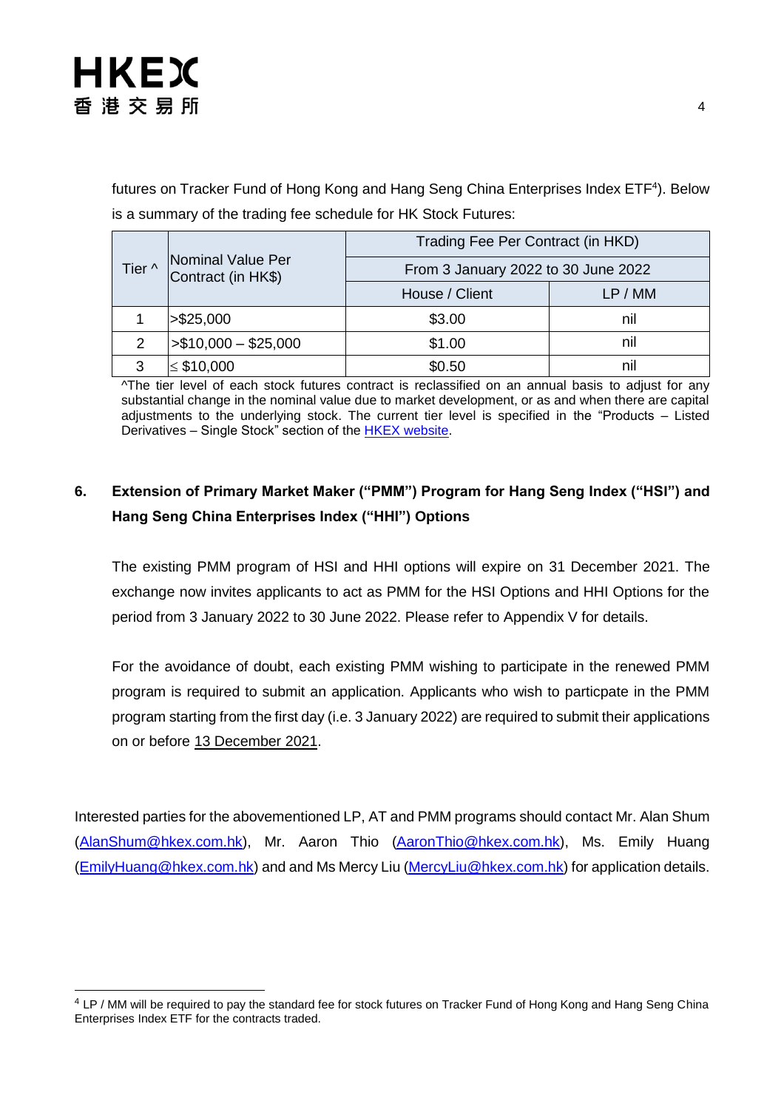

futures on Tracker Fund of Hong Kong and Hang Seng China Enterprises Index ETF<sup>4</sup>). Below is a summary of the trading fee schedule for HK Stock Futures:

| Tier ^ |                                         | Trading Fee Per Contract (in HKD)   |         |  |
|--------|-----------------------------------------|-------------------------------------|---------|--|
|        | Nominal Value Per<br>Contract (in HK\$) | From 3 January 2022 to 30 June 2022 |         |  |
|        |                                         | House / Client                      | LP / MM |  |
|        | > \$25,000                              | \$3.00                              | nil     |  |
| 2      | $> $10,000 - $25,000$                   | \$1.00                              | nil     |  |
| 3      | $\leq$ \$10,000                         | \$0.50                              | nı      |  |

^The tier level of each stock futures contract is reclassified on an annual basis to adjust for any substantial change in the nominal value due to market development, or as and when there are capital adjustments to the underlying stock. The current tier level is specified in the "Products – Listed Derivatives - Single Stock" section of the **HKEX website**.

### **6. Extension of Primary Market Maker ("PMM") Program for Hang Seng Index ("HSI") and Hang Seng China Enterprises Index ("HHI") Options**

The existing PMM program of HSI and HHI options will expire on 31 December 2021. The exchange now invites applicants to act as PMM for the HSI Options and HHI Options for the period from 3 January 2022 to 30 June 2022. Please refer to Appendix V for details.

For the avoidance of doubt, each existing PMM wishing to participate in the renewed PMM program is required to submit an application. Applicants who wish to particpate in the PMM program starting from the first day (i.e. 3 January 2022) are required to submit their applications on or before 13 December 2021.

Interested parties for the abovementioned LP, AT and PMM programs should contact Mr. Alan Shum [\(AlanShum@hkex.com.hk\)](mailto:AlanShum@hkex.com.hk), Mr. Aaron Thio [\(AaronThio@hkex.com.hk\)](mailto:AaronThio@HKEX.COM.HK), Ms. Emily Huang [\(EmilyHuang@hkex.com.hk\)](mailto:EmilyHuang@HKEX.COM.HK) and and Ms Mercy Liu [\(MercyLiu@hkex.com.hk\)](file:///C:/Users/wallacechan/AppData/Local/Microsoft/Windows/INetCache/Content.Outlook/NOD065RS/MercyLiu@hkex.com.hk) for application details.

<sup>4</sup> LP / MM will be required to pay the standard fee for stock futures on Tracker Fund of Hong Kong and Hang Seng China Enterprises Index ETF for the contracts traded.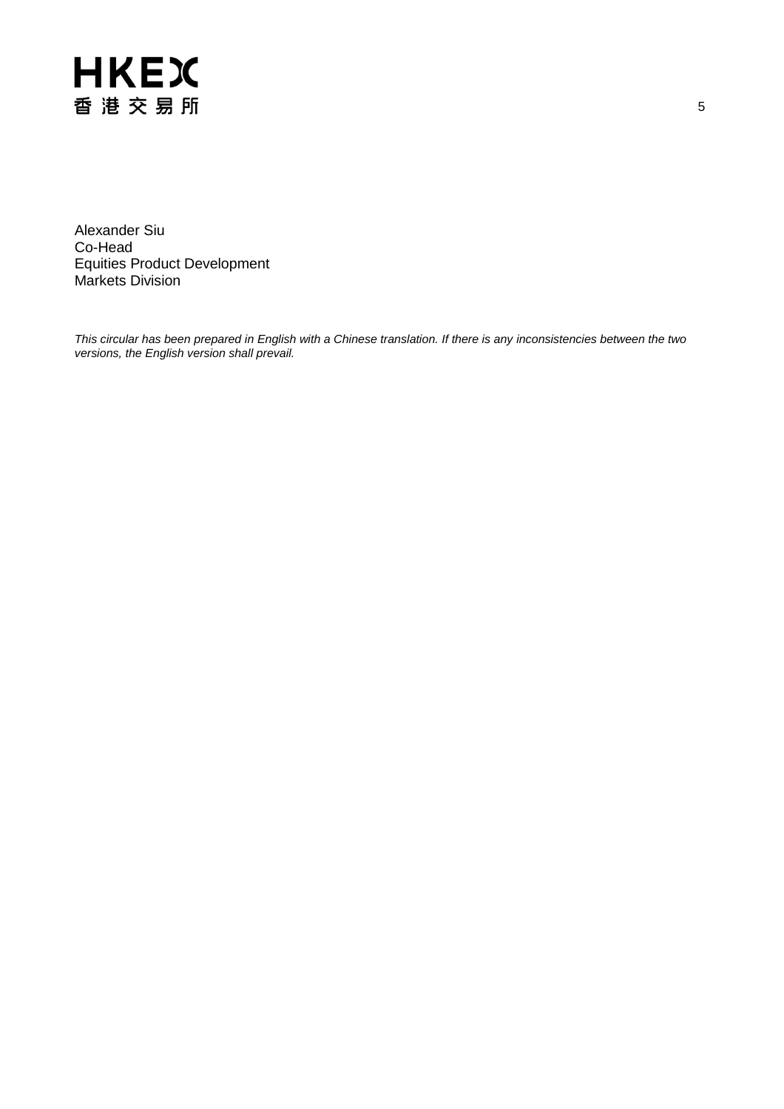

Alexander Siu Co-Head Equities Product Development Markets Division

*This circular has been prepared in English with a Chinese translation. If there is any inconsistencies between the two versions, the English version shall prevail.*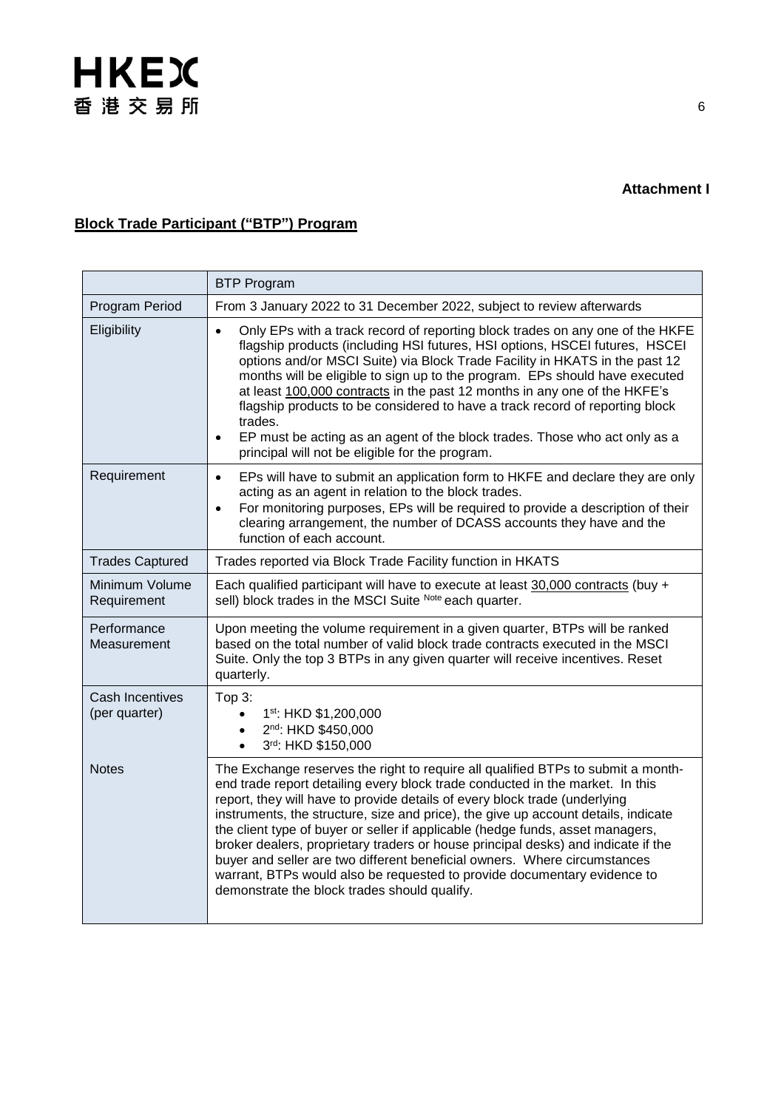### **Block Trade Participant ("BTP") Program**

|                                  | <b>BTP Program</b>                                                                                                                                                                                                                                                                                                                                                                                                                                                                                                                                                                                                                                                                                                    |
|----------------------------------|-----------------------------------------------------------------------------------------------------------------------------------------------------------------------------------------------------------------------------------------------------------------------------------------------------------------------------------------------------------------------------------------------------------------------------------------------------------------------------------------------------------------------------------------------------------------------------------------------------------------------------------------------------------------------------------------------------------------------|
| Program Period                   | From 3 January 2022 to 31 December 2022, subject to review afterwards                                                                                                                                                                                                                                                                                                                                                                                                                                                                                                                                                                                                                                                 |
| Eligibility                      | Only EPs with a track record of reporting block trades on any one of the HKFE<br>$\bullet$<br>flagship products (including HSI futures, HSI options, HSCEI futures, HSCEI<br>options and/or MSCI Suite) via Block Trade Facility in HKATS in the past 12<br>months will be eligible to sign up to the program. EPs should have executed<br>at least 100,000 contracts in the past 12 months in any one of the HKFE's<br>flagship products to be considered to have a track record of reporting block<br>trades.<br>EP must be acting as an agent of the block trades. Those who act only as a<br>$\bullet$<br>principal will not be eligible for the program.                                                         |
| Requirement                      | EPs will have to submit an application form to HKFE and declare they are only<br>$\bullet$<br>acting as an agent in relation to the block trades.<br>For monitoring purposes, EPs will be required to provide a description of their<br>$\bullet$<br>clearing arrangement, the number of DCASS accounts they have and the<br>function of each account.                                                                                                                                                                                                                                                                                                                                                                |
| <b>Trades Captured</b>           | Trades reported via Block Trade Facility function in HKATS                                                                                                                                                                                                                                                                                                                                                                                                                                                                                                                                                                                                                                                            |
| Minimum Volume<br>Requirement    | Each qualified participant will have to execute at least 30,000 contracts (buy +<br>sell) block trades in the MSCI Suite Note each quarter.                                                                                                                                                                                                                                                                                                                                                                                                                                                                                                                                                                           |
| Performance<br>Measurement       | Upon meeting the volume requirement in a given quarter, BTPs will be ranked<br>based on the total number of valid block trade contracts executed in the MSCI<br>Suite. Only the top 3 BTPs in any given quarter will receive incentives. Reset<br>quarterly.                                                                                                                                                                                                                                                                                                                                                                                                                                                          |
| Cash Incentives<br>(per quarter) | Top 3:<br>1st: HKD \$1,200,000<br>2nd: HKD \$450,000<br>3rd: HKD \$150,000                                                                                                                                                                                                                                                                                                                                                                                                                                                                                                                                                                                                                                            |
| <b>Notes</b>                     | The Exchange reserves the right to require all qualified BTPs to submit a month-<br>end trade report detailing every block trade conducted in the market. In this<br>report, they will have to provide details of every block trade (underlying<br>instruments, the structure, size and price), the give up account details, indicate<br>the client type of buyer or seller if applicable (hedge funds, asset managers,<br>broker dealers, proprietary traders or house principal desks) and indicate if the<br>buyer and seller are two different beneficial owners. Where circumstances<br>warrant, BTPs would also be requested to provide documentary evidence to<br>demonstrate the block trades should qualify. |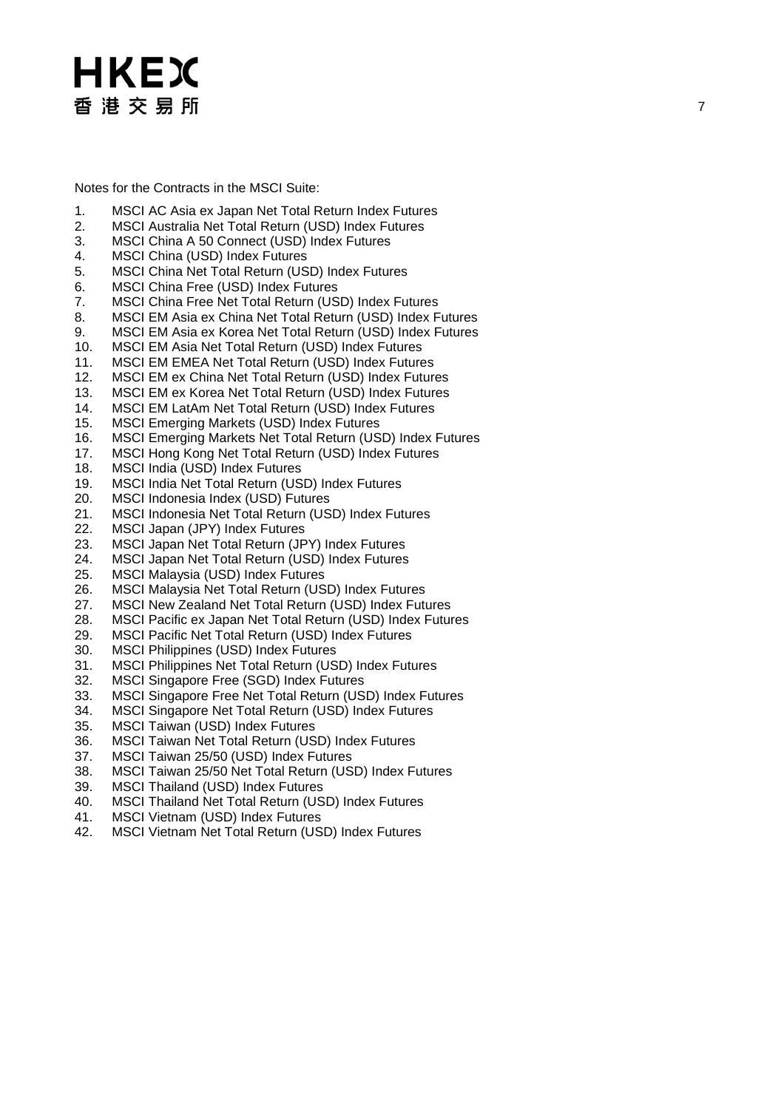Notes for the Contracts in the MSCI Suite :

- 1. MSCI AC Asia ex Japan Net Total Return Index Futures
- 2. MSCI Australia Net Total Return (USD) Index Futures
- 3. MSCI China A 50 Connect (USD) Index Futures
- MSCI China (USD) Index Futures
- 5. MSCI China Net Total Return (USD) Index Futures
- 6. MSCI China Free (USD) Index Futures
- 7. MSCI China Free Net Total Return (USD) Index Futures
- 8. MSCI EM Asia ex China Net Total Return (USD) Index Futures
- 9. MSCI EM Asia ex Korea Net Total Return (USD) Index Futures
- 10. MSCI EM Asia Net Total Return (USD) Index Futures
- 11. MSCI EM EMEA Net Total Return (USD) Index Futures
- 12. MSCI EM ex China Net Total Return (USD) Index Futures
- 13. MSCI EM ex Korea Net Total Return (USD) Index Futures
- 
- 14. MSCI EM LatAm Net Total Return (USD) Index Futures<br>15. MSCI Emerging Markets (USD) Index Futures
- 15. MSCI Emerging Markets (USD) Index Futures<br>16. MSCI Emerging Markets Net Total Return (US 16. MSCI Emerging Markets Net Total Return (USD) Index Futures
- 17. MSCI Hong Kong Net Total Return (USD) Index Futures
- 18. MSCI India (USD) Index Futures<br>19. MSCI India Net Total Return (US
- MSCI India Net Total Return (USD) Index Futures
- 20. MSCI Indonesia Index (USD) Futures
- 21. MSCI Indonesia Net Total Return (USD) Index Futures<br>22. MSCI Japan (JPY) Index Futures
- MSCI Japan (JPY) Index Futures
- 23. MSCI Japan Net Total Return (JPY) Index Futures
- 24. MSCI Japan Net Total Return (USD) Index Futures<br>25. MSCI Malaysia (USD) Index Futures
- MSCI Malaysia (USD) Index Futures
- 26. MSCI Malaysia Net Total Return (USD) Index Futures
- 27. MSCI New Zealand Net Total Return (USD) Index Futures
- 28. MSCI Pacific ex Japan Net Total Return (USD) Index Futures
- 29. MSCI Pacific Net Total Return (USD) Index Futures
- 30. MSCI Philippines (USD) Index Futures
- 31. MSCI Philippines Net Total Return (USD) Index Futures
- 32. MSCI Singapore Free (SGD) Index Futures
- 33. MSCI Singapore Free Net Total Return (USD) Index Futures
- 34. MSCI Singapore Net Total Return (USD) Index Futures
- 35. MSCI Taiwan (USD) Index Futures
- 36. MSCI Taiwan Net Total Return (USD) Index Futures
- 37. MSCI Taiwan 25/50 (USD) Index Futures
- 38. MSCI Taiwan 25/50 Net Total Return (USD) Index Futures
- 39. MSCI Thailand (USD) Index Futures
- 40. MSCI Thailand Net Total Return (USD) Index Futures
- 41. MSCI Vietnam (USD) Index Futures
- 42. MSCI Vietnam Net Total Return (USD) Index Futures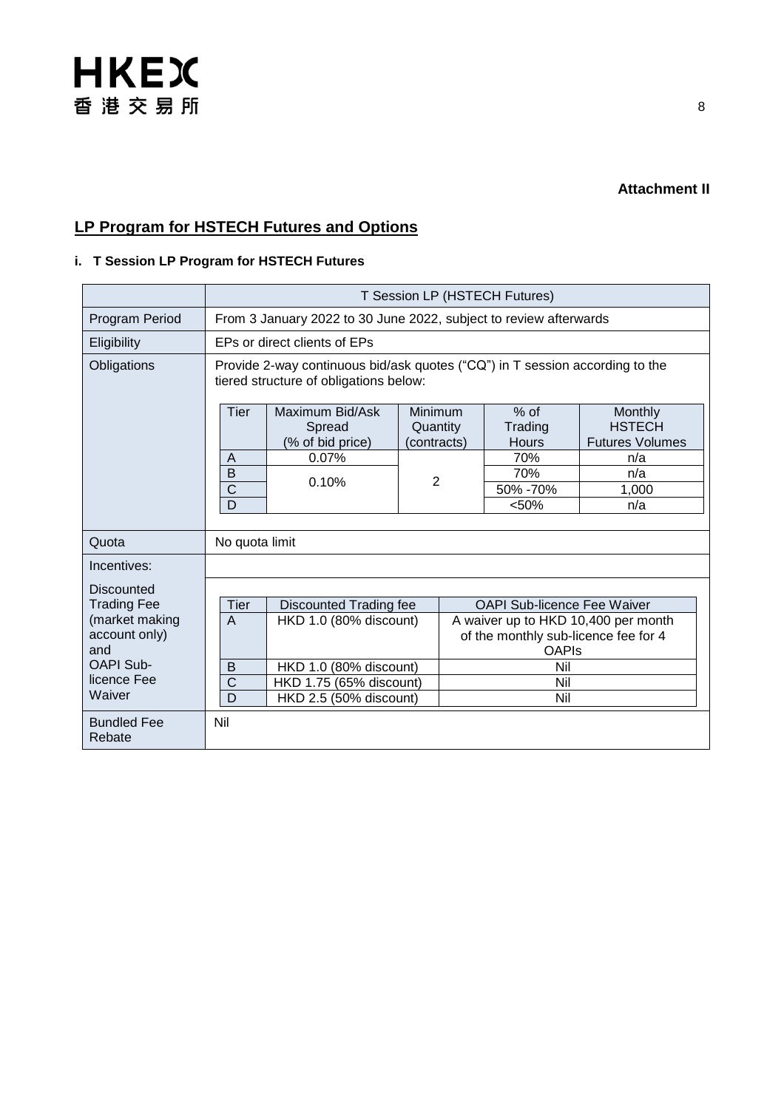### **LP Program for HSTECH Futures and Options**

#### **i. T Session LP Program for HSTECH Futures**

|                              | T Session LP (HSTECH Futures)                                                                                          |                                                                   |                                    |                                          |                                                                  |
|------------------------------|------------------------------------------------------------------------------------------------------------------------|-------------------------------------------------------------------|------------------------------------|------------------------------------------|------------------------------------------------------------------|
| Program Period               |                                                                                                                        | From 3 January 2022 to 30 June 2022, subject to review afterwards |                                    |                                          |                                                                  |
| Eligibility                  |                                                                                                                        | EPs or direct clients of EPs                                      |                                    |                                          |                                                                  |
| Obligations                  | Provide 2-way continuous bid/ask quotes ("CQ") in T session according to the<br>tiered structure of obligations below: |                                                                   |                                    |                                          |                                                                  |
|                              | <b>Tier</b><br>A                                                                                                       | Maximum Bid/Ask<br>Spread<br>(% of bid price)<br>0.07%            | Minimum<br>Quantity<br>(contracts) | $%$ of<br>Trading<br><b>Hours</b><br>70% | <b>Monthly</b><br><b>HSTECH</b><br><b>Futures Volumes</b><br>n/a |
|                              | B<br>$\mathsf C$                                                                                                       | 0.10%                                                             | 2                                  | 70%<br>50% -70%                          | n/a<br>1,000                                                     |
|                              | D                                                                                                                      |                                                                   |                                    | < 50%                                    | n/a                                                              |
| Quota                        | No quota limit                                                                                                         |                                                                   |                                    |                                          |                                                                  |
| Incentives:                  |                                                                                                                        |                                                                   |                                    |                                          |                                                                  |
| <b>Discounted</b>            |                                                                                                                        |                                                                   |                                    |                                          |                                                                  |
| <b>Trading Fee</b>           | Tier                                                                                                                   | <b>Discounted Trading fee</b>                                     |                                    | <b>OAPI Sub-licence Fee Waiver</b>       |                                                                  |
| (market making               | $\overline{A}$                                                                                                         | HKD 1.0 (80% discount)                                            |                                    | A waiver up to HKD 10,400 per month      |                                                                  |
| account only)<br>and         |                                                                                                                        |                                                                   |                                    | of the monthly sub-licence fee for 4     |                                                                  |
| OAPI Sub-                    | B                                                                                                                      | HKD 1.0 (80% discount)                                            |                                    | <b>OAPIS</b><br>Nil                      |                                                                  |
| licence Fee                  | $\mathsf{C}$                                                                                                           | HKD 1.75 (65% discount)                                           |                                    | Nil                                      |                                                                  |
| Waiver                       | D                                                                                                                      | HKD 2.5 (50% discount)                                            |                                    | Nil                                      |                                                                  |
| <b>Bundled Fee</b><br>Rebate | Nil                                                                                                                    |                                                                   |                                    |                                          |                                                                  |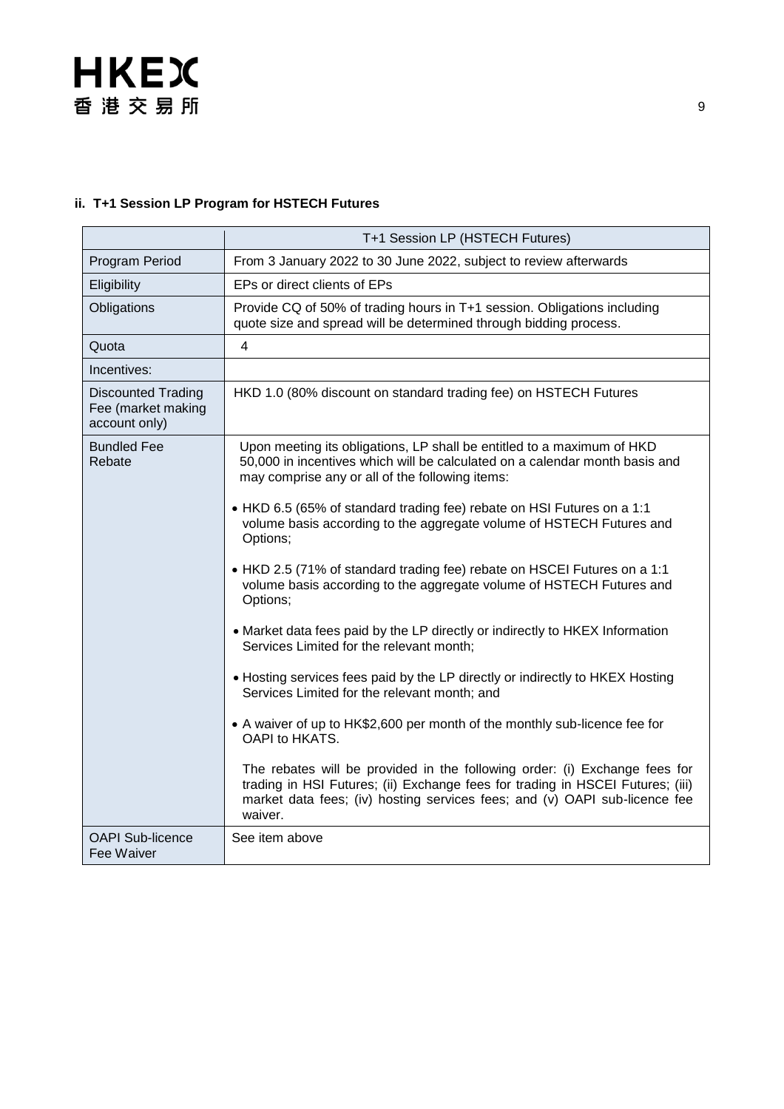#### **ii. T+1 Session LP Program for HSTECH Futures**

|                                                                  | T+1 Session LP (HSTECH Futures)                                                                                                                                                                                                                       |
|------------------------------------------------------------------|-------------------------------------------------------------------------------------------------------------------------------------------------------------------------------------------------------------------------------------------------------|
| Program Period                                                   | From 3 January 2022 to 30 June 2022, subject to review afterwards                                                                                                                                                                                     |
| Eligibility                                                      | EPs or direct clients of EPs                                                                                                                                                                                                                          |
| Obligations                                                      | Provide CQ of 50% of trading hours in T+1 session. Obligations including<br>quote size and spread will be determined through bidding process.                                                                                                         |
| Quota                                                            | 4                                                                                                                                                                                                                                                     |
| Incentives:                                                      |                                                                                                                                                                                                                                                       |
| <b>Discounted Trading</b><br>Fee (market making<br>account only) | HKD 1.0 (80% discount on standard trading fee) on HSTECH Futures                                                                                                                                                                                      |
| <b>Bundled Fee</b><br>Rebate                                     | Upon meeting its obligations, LP shall be entitled to a maximum of HKD<br>50,000 in incentives which will be calculated on a calendar month basis and<br>may comprise any or all of the following items:                                              |
|                                                                  | • HKD 6.5 (65% of standard trading fee) rebate on HSI Futures on a 1:1<br>volume basis according to the aggregate volume of HSTECH Futures and<br>Options;                                                                                            |
|                                                                  | • HKD 2.5 (71% of standard trading fee) rebate on HSCEI Futures on a 1:1<br>volume basis according to the aggregate volume of HSTECH Futures and<br>Options;                                                                                          |
|                                                                  | • Market data fees paid by the LP directly or indirectly to HKEX Information<br>Services Limited for the relevant month;                                                                                                                              |
|                                                                  | • Hosting services fees paid by the LP directly or indirectly to HKEX Hosting<br>Services Limited for the relevant month; and                                                                                                                         |
|                                                                  | • A waiver of up to HK\$2,600 per month of the monthly sub-licence fee for<br>OAPI to HKATS.                                                                                                                                                          |
|                                                                  | The rebates will be provided in the following order: (i) Exchange fees for<br>trading in HSI Futures; (ii) Exchange fees for trading in HSCEI Futures; (iii)<br>market data fees; (iv) hosting services fees; and (v) OAPI sub-licence fee<br>waiver. |
| <b>OAPI Sub-licence</b><br>Fee Waiver                            | See item above                                                                                                                                                                                                                                        |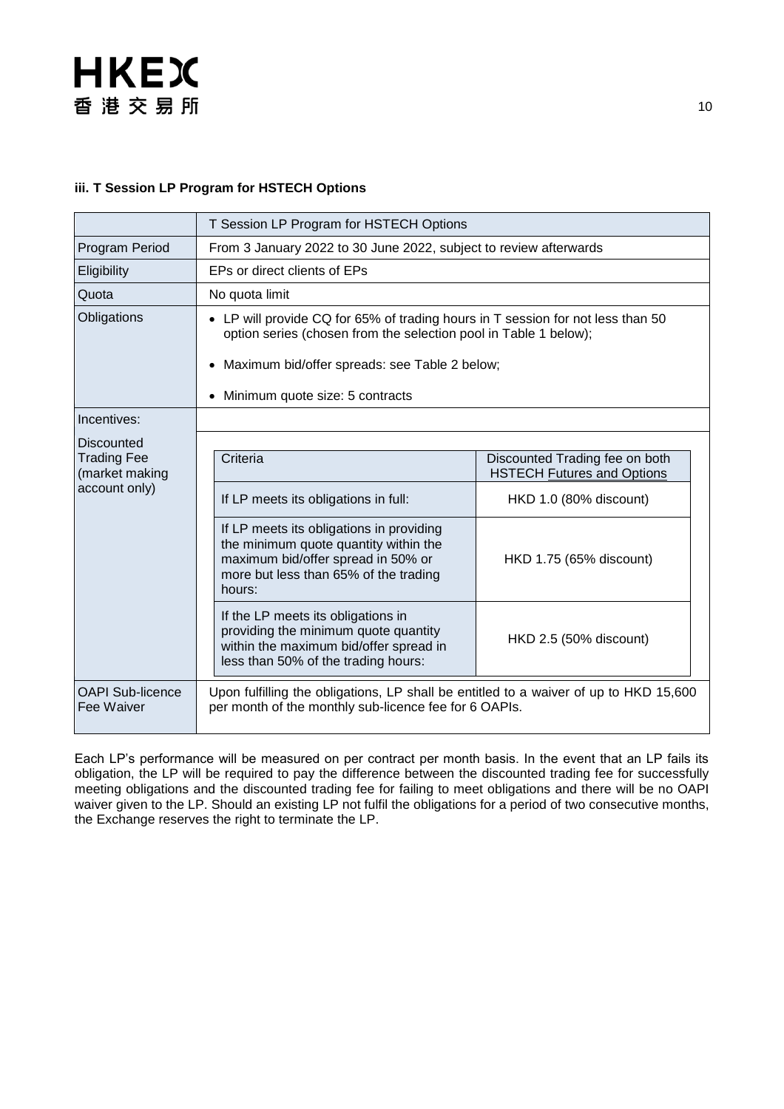#### **iii. T Session LP Program for HSTECH Options**

|                                                                            | T Session LP Program for HSTECH Options                                                                                                                                                                                        |                                                                                                                          |  |  |
|----------------------------------------------------------------------------|--------------------------------------------------------------------------------------------------------------------------------------------------------------------------------------------------------------------------------|--------------------------------------------------------------------------------------------------------------------------|--|--|
| Program Period                                                             | From 3 January 2022 to 30 June 2022, subject to review afterwards                                                                                                                                                              |                                                                                                                          |  |  |
| Eligibility                                                                | EPs or direct clients of EPs                                                                                                                                                                                                   |                                                                                                                          |  |  |
| Quota                                                                      | No quota limit                                                                                                                                                                                                                 |                                                                                                                          |  |  |
| Obligations                                                                | • LP will provide CQ for 65% of trading hours in T session for not less than 50<br>option series (chosen from the selection pool in Table 1 below);                                                                            |                                                                                                                          |  |  |
|                                                                            | Maximum bid/offer spreads: see Table 2 below;                                                                                                                                                                                  |                                                                                                                          |  |  |
|                                                                            | Minimum quote size: 5 contracts                                                                                                                                                                                                |                                                                                                                          |  |  |
| Incentives:                                                                |                                                                                                                                                                                                                                |                                                                                                                          |  |  |
| <b>Discounted</b><br><b>Trading Fee</b><br>(market making<br>account only) | Criteria<br>If LP meets its obligations in full:<br>If LP meets its obligations in providing<br>the minimum quote quantity within the<br>maximum bid/offer spread in 50% or<br>more but less than 65% of the trading<br>hours: | Discounted Trading fee on both<br><b>HSTECH Futures and Options</b><br>HKD 1.0 (80% discount)<br>HKD 1.75 (65% discount) |  |  |
|                                                                            | If the LP meets its obligations in<br>providing the minimum quote quantity<br>within the maximum bid/offer spread in<br>less than 50% of the trading hours:                                                                    | HKD 2.5 (50% discount)                                                                                                   |  |  |
| <b>OAPI Sub-licence</b><br>Fee Waiver                                      | Upon fulfilling the obligations, LP shall be entitled to a waiver of up to HKD 15,600<br>per month of the monthly sub-licence fee for 6 OAPIs.                                                                                 |                                                                                                                          |  |  |

Each LP's performance will be measured on per contract per month basis. In the event that an LP fails its obligation, the LP will be required to pay the difference between the discounted trading fee for successfully meeting obligations and the discounted trading fee for failing to meet obligations and there will be no OAPI waiver given to the LP. Should an existing LP not fulfil the obligations for a period of two consecutive months, the Exchange reserves the right to terminate the LP.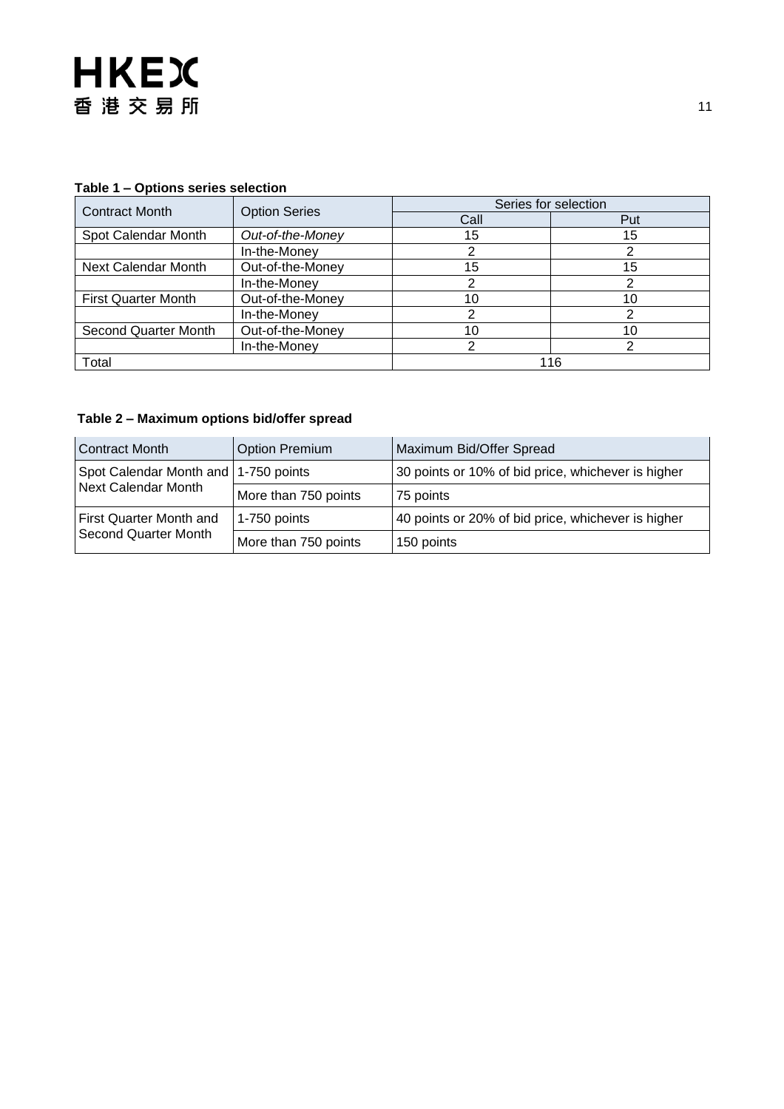| $1800 - 1$ – Options scrips scieduoir |                      | Series for selection |     |  |
|---------------------------------------|----------------------|----------------------|-----|--|
| <b>Contract Month</b>                 | <b>Option Series</b> | Call                 | Put |  |
| Spot Calendar Month                   | Out-of-the-Money     | 15                   | 15  |  |
|                                       | In-the-Money         |                      |     |  |
| Next Calendar Month                   | Out-of-the-Money     | 15                   | 15  |  |
|                                       | In-the-Money         |                      |     |  |
| <b>First Quarter Month</b>            | Out-of-the-Money     | 10                   | 10  |  |
|                                       | In-the-Money         |                      |     |  |
| Second Quarter Month                  | Out-of-the-Money     | 10                   | 10  |  |
|                                       | In-the-Money         | ົ                    |     |  |
| Total                                 |                      |                      | 116 |  |

#### **Table 1 – Options series selection**

#### **Table 2 – Maximum options bid/offer spread**

| <b>Contract Month</b>                                         | <b>Option Premium</b> | Maximum Bid/Offer Spread                           |
|---------------------------------------------------------------|-----------------------|----------------------------------------------------|
| Spot Calendar Month and   1-750 points<br>Next Calendar Month |                       | 30 points or 10% of bid price, whichever is higher |
|                                                               | More than 750 points  | 75 points                                          |
| First Quarter Month and<br>Second Quarter Month               | 1-750 points          | 40 points or 20% of bid price, whichever is higher |
|                                                               | More than 750 points  | 150 points                                         |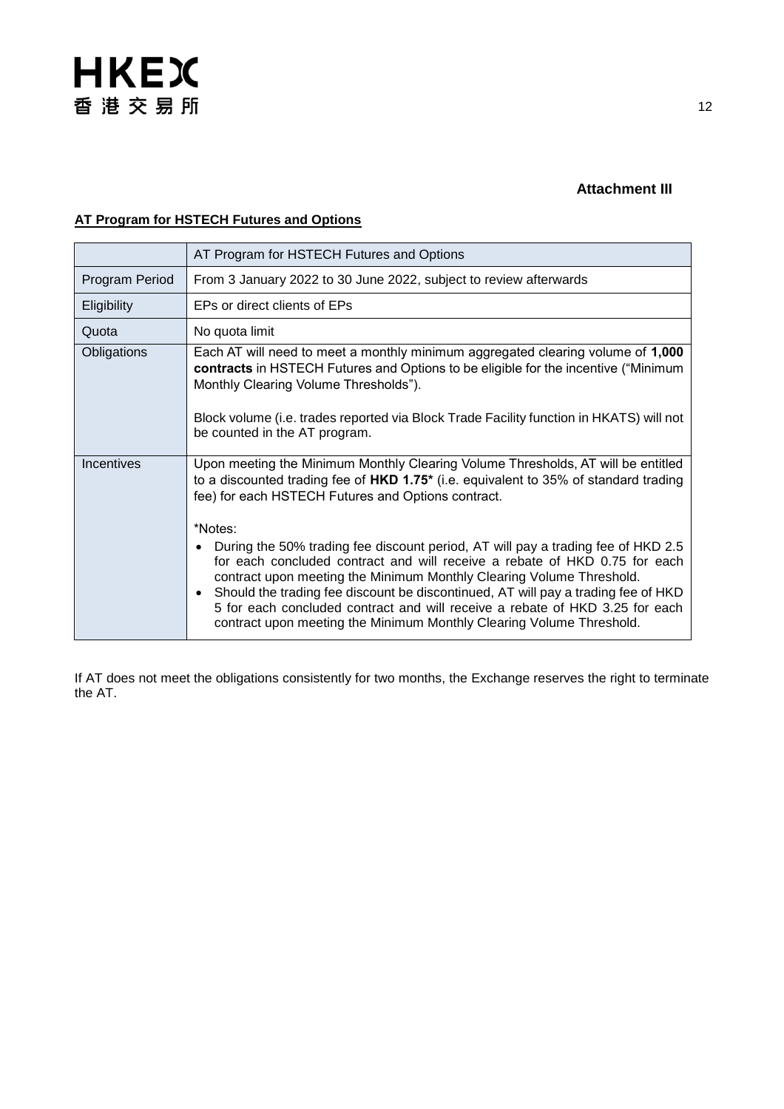#### **Attachment III**

#### **AT Program for HSTECH Futures and Options**

|                   | AT Program for HSTECH Futures and Options                                                                                                                                                                                                                                                                                                                                                                                                                                                                                                                                                                                                                                                                                          |
|-------------------|------------------------------------------------------------------------------------------------------------------------------------------------------------------------------------------------------------------------------------------------------------------------------------------------------------------------------------------------------------------------------------------------------------------------------------------------------------------------------------------------------------------------------------------------------------------------------------------------------------------------------------------------------------------------------------------------------------------------------------|
| Program Period    | From 3 January 2022 to 30 June 2022, subject to review afterwards                                                                                                                                                                                                                                                                                                                                                                                                                                                                                                                                                                                                                                                                  |
| Eligibility       | EPs or direct clients of EPs                                                                                                                                                                                                                                                                                                                                                                                                                                                                                                                                                                                                                                                                                                       |
| Quota             | No quota limit                                                                                                                                                                                                                                                                                                                                                                                                                                                                                                                                                                                                                                                                                                                     |
| Obligations       | Each AT will need to meet a monthly minimum aggregated clearing volume of 1,000<br>contracts in HSTECH Futures and Options to be eligible for the incentive ("Minimum<br>Monthly Clearing Volume Thresholds").<br>Block volume (i.e. trades reported via Block Trade Facility function in HKATS) will not<br>be counted in the AT program.                                                                                                                                                                                                                                                                                                                                                                                         |
| <b>Incentives</b> | Upon meeting the Minimum Monthly Clearing Volume Thresholds, AT will be entitled<br>to a discounted trading fee of $HKD$ 1.75* (i.e. equivalent to 35% of standard trading<br>fee) for each HSTECH Futures and Options contract.<br>*Notes:<br>During the 50% trading fee discount period, AT will pay a trading fee of HKD 2.5<br>for each concluded contract and will receive a rebate of HKD 0.75 for each<br>contract upon meeting the Minimum Monthly Clearing Volume Threshold.<br>Should the trading fee discount be discontinued, AT will pay a trading fee of HKD<br>5 for each concluded contract and will receive a rebate of HKD 3.25 for each<br>contract upon meeting the Minimum Monthly Clearing Volume Threshold. |

If AT does not meet the obligations consistently for two months, the Exchange reserves the right to terminate the AT.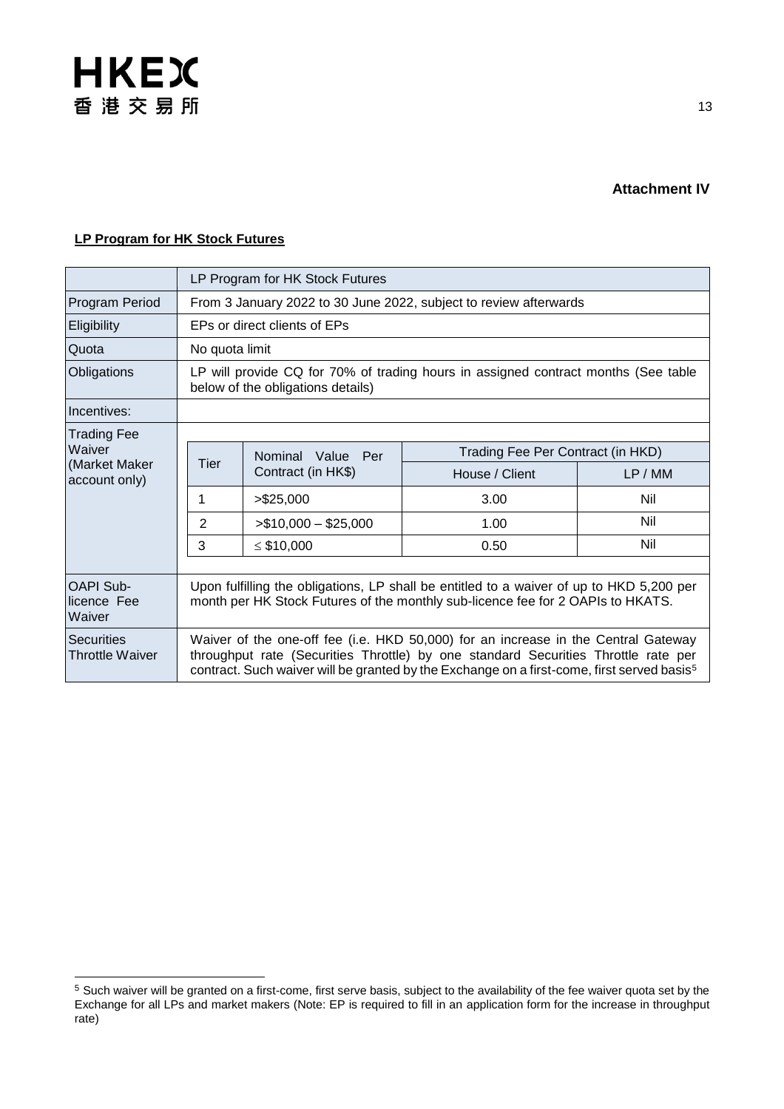

#### **Attachment IV**

#### **LP Program for HK Stock Futures**

|                                             | LP Program for HK Stock Futures                                                                                                                                                                                                                                                    |                              |                |                                   |  |
|---------------------------------------------|------------------------------------------------------------------------------------------------------------------------------------------------------------------------------------------------------------------------------------------------------------------------------------|------------------------------|----------------|-----------------------------------|--|
| Program Period                              | From 3 January 2022 to 30 June 2022, subject to review afterwards                                                                                                                                                                                                                  |                              |                |                                   |  |
| Eligibility                                 |                                                                                                                                                                                                                                                                                    | EPs or direct clients of EPs |                |                                   |  |
| Quota                                       | No quota limit                                                                                                                                                                                                                                                                     |                              |                |                                   |  |
| Obligations                                 | LP will provide CQ for 70% of trading hours in assigned contract months (See table<br>below of the obligations details)                                                                                                                                                            |                              |                |                                   |  |
| Incentives:                                 |                                                                                                                                                                                                                                                                                    |                              |                |                                   |  |
| <b>Trading Fee</b>                          |                                                                                                                                                                                                                                                                                    |                              |                |                                   |  |
| Waiver                                      |                                                                                                                                                                                                                                                                                    | Nominal Value<br>Per         |                | Trading Fee Per Contract (in HKD) |  |
| (Market Maker<br>account only)              | Tier                                                                                                                                                                                                                                                                               | Contract (in HK\$)           | House / Client | LP/MM                             |  |
|                                             | 1                                                                                                                                                                                                                                                                                  | > \$25,000                   | 3.00           | Nil                               |  |
|                                             | 2                                                                                                                                                                                                                                                                                  | $> $10,000 - $25,000$        | 1.00           | Nil                               |  |
|                                             | 3                                                                                                                                                                                                                                                                                  | $\leq$ \$10,000              | 0.50           | Nil                               |  |
|                                             |                                                                                                                                                                                                                                                                                    |                              |                |                                   |  |
| <b>OAPI Sub-</b><br>licence Fee<br>Waiver   | Upon fulfilling the obligations, LP shall be entitled to a waiver of up to HKD 5,200 per<br>month per HK Stock Futures of the monthly sub-licence fee for 2 OAPIs to HKATS.                                                                                                        |                              |                |                                   |  |
| <b>Securities</b><br><b>Throttle Waiver</b> | Waiver of the one-off fee (i.e. HKD 50,000) for an increase in the Central Gateway<br>throughput rate (Securities Throttle) by one standard Securities Throttle rate per<br>contract. Such waiver will be granted by the Exchange on a first-come, first served basis <sup>5</sup> |                              |                |                                   |  |

 $5$  Such waiver will be granted on a first-come, first serve basis, subject to the availability of the fee waiver quota set by the Exchange for all LPs and market makers (Note: EP is required to fill in an application form for the increase in throughput rate)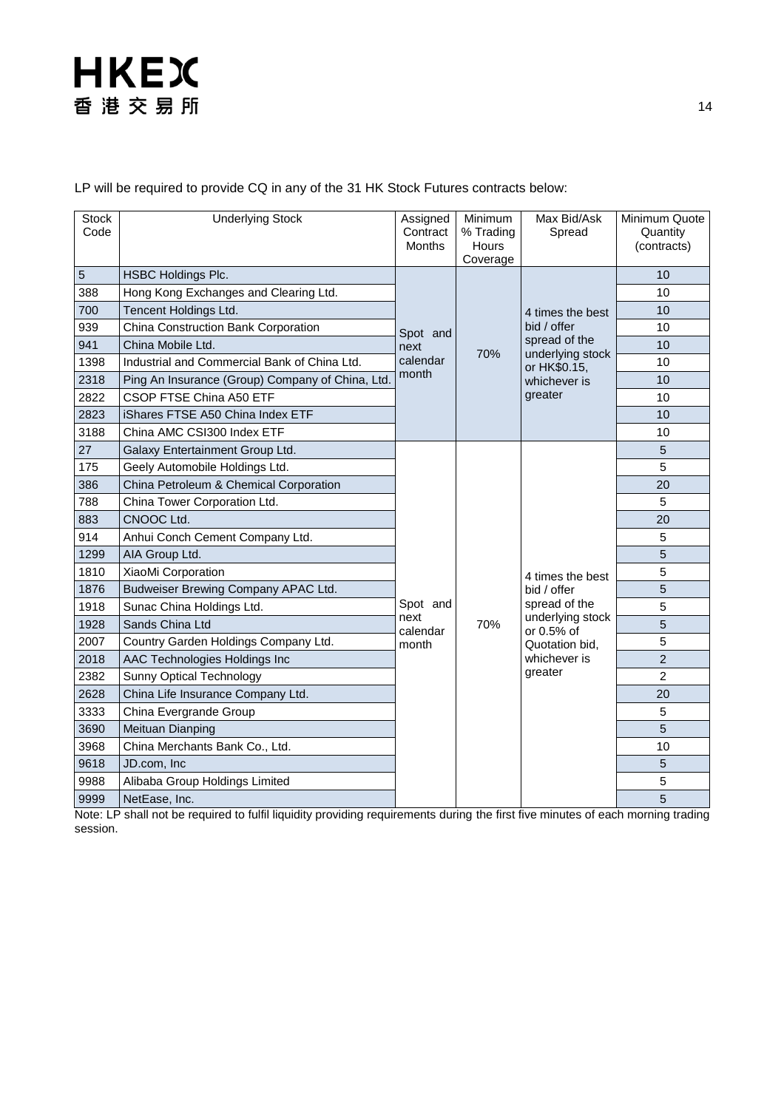LP will be required to provide CQ in any of the 31 HK Stock Futures contracts below:

| <b>Stock</b><br>Code | <b>Underlying Stock</b>                         | Assigned<br>Contract<br><b>Months</b> | Minimum<br>% Trading<br>Hours<br>Coverage | Max Bid/Ask<br>Spread                                                                                           | Minimum Quote<br>Quantity<br>(contracts) |
|----------------------|-------------------------------------------------|---------------------------------------|-------------------------------------------|-----------------------------------------------------------------------------------------------------------------|------------------------------------------|
| 5                    | <b>HSBC Holdings Plc.</b>                       | Spot and<br>next<br>calendar<br>month | 70%                                       | 4 times the best<br>bid / offer<br>spread of the<br>underlying stock<br>or HK\$0.15,<br>whichever is<br>greater | 10                                       |
| 388                  | Hong Kong Exchanges and Clearing Ltd.           |                                       |                                           |                                                                                                                 | 10                                       |
| 700                  | Tencent Holdings Ltd.                           |                                       |                                           |                                                                                                                 | 10                                       |
| 939                  | China Construction Bank Corporation             |                                       |                                           |                                                                                                                 | 10                                       |
| 941                  | China Mobile Ltd.                               |                                       |                                           |                                                                                                                 | 10                                       |
| 1398                 | Industrial and Commercial Bank of China Ltd.    |                                       |                                           |                                                                                                                 | 10                                       |
| 2318                 | Ping An Insurance (Group) Company of China, Ltd |                                       |                                           |                                                                                                                 | 10                                       |
| 2822                 | CSOP FTSE China A50 ETF                         |                                       |                                           |                                                                                                                 | 10                                       |
| 2823                 | iShares FTSE A50 China Index ETF                |                                       |                                           |                                                                                                                 | 10                                       |
| 3188                 | China AMC CSI300 Index ETF                      |                                       |                                           |                                                                                                                 | 10                                       |
| 27                   | Galaxy Entertainment Group Ltd.                 |                                       |                                           |                                                                                                                 | $\overline{5}$                           |
| 175                  | Geely Automobile Holdings Ltd.                  |                                       |                                           |                                                                                                                 | 5                                        |
| 386                  | China Petroleum & Chemical Corporation          |                                       |                                           |                                                                                                                 | 20                                       |
| 788                  | China Tower Corporation Ltd.                    |                                       |                                           |                                                                                                                 | 5                                        |
| 883                  | CNOOC Ltd.                                      |                                       |                                           |                                                                                                                 | 20                                       |
| 914                  | Anhui Conch Cement Company Ltd.                 |                                       |                                           |                                                                                                                 | 5                                        |
| 1299                 | AIA Group Ltd.                                  |                                       |                                           |                                                                                                                 | 5                                        |
| 1810                 | XiaoMi Corporation                              |                                       |                                           | 4 times the best                                                                                                | 5                                        |
| 1876                 | Budweiser Brewing Company APAC Ltd.             |                                       |                                           | bid / offer                                                                                                     | 5                                        |
| 1918                 | Sunac China Holdings Ltd.                       | Spot and                              |                                           | spread of the                                                                                                   | 5                                        |
| 1928                 | Sands China Ltd                                 | next<br>calendar                      | 70%                                       | underlying stock<br>or 0.5% of                                                                                  | 5                                        |
| 2007                 | Country Garden Holdings Company Ltd.            | month                                 |                                           | Quotation bid,                                                                                                  | $\overline{5}$                           |
| 2018                 | AAC Technologies Holdings Inc                   |                                       |                                           | whichever is<br>greater                                                                                         | $\overline{2}$                           |
| 2382                 | <b>Sunny Optical Technology</b>                 |                                       |                                           |                                                                                                                 | $\overline{2}$                           |
| 2628                 | China Life Insurance Company Ltd.               |                                       |                                           |                                                                                                                 | 20                                       |
| 3333                 | China Evergrande Group                          |                                       |                                           |                                                                                                                 | 5                                        |
| 3690                 | Meituan Dianping                                |                                       |                                           |                                                                                                                 | 5                                        |
| 3968                 | China Merchants Bank Co., Ltd.                  |                                       |                                           |                                                                                                                 | 10                                       |
| 9618                 | JD.com, Inc.                                    |                                       |                                           |                                                                                                                 | 5                                        |
| 9988                 | Alibaba Group Holdings Limited                  |                                       |                                           |                                                                                                                 | 5                                        |
| 9999                 | NetEase, Inc.                                   |                                       |                                           |                                                                                                                 | 5                                        |

Note: LP shall not be required to fulfil liquidity providing requirements during the first five minutes of each morning trading session.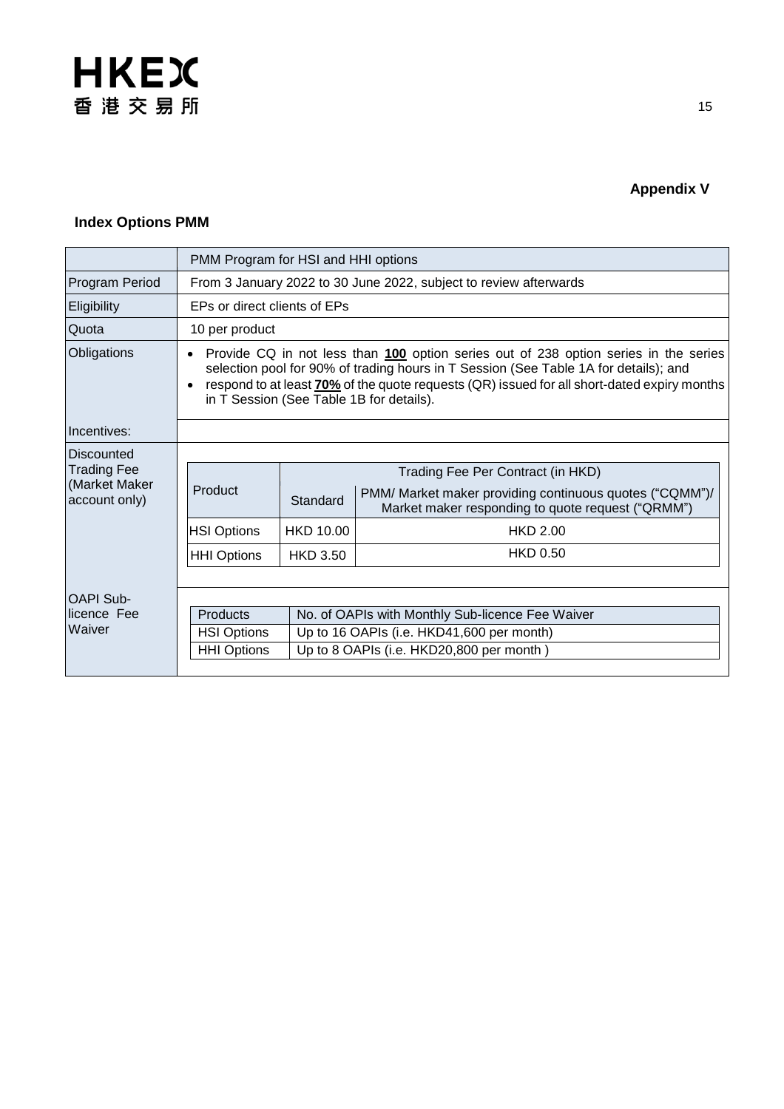

## **Appendix V**

#### **Index Options PMM**

|                                | PMM Program for HSI and HHI options                                                                                                                                                                                                                                                                                     |                                           |                                                                                                              |  |  |
|--------------------------------|-------------------------------------------------------------------------------------------------------------------------------------------------------------------------------------------------------------------------------------------------------------------------------------------------------------------------|-------------------------------------------|--------------------------------------------------------------------------------------------------------------|--|--|
| Program Period                 | From 3 January 2022 to 30 June 2022, subject to review afterwards                                                                                                                                                                                                                                                       |                                           |                                                                                                              |  |  |
| Eligibility                    | EPs or direct clients of EPs                                                                                                                                                                                                                                                                                            |                                           |                                                                                                              |  |  |
| Quota                          | 10 per product                                                                                                                                                                                                                                                                                                          |                                           |                                                                                                              |  |  |
| Obligations                    | Provide CQ in not less than 100 option series out of 238 option series in the series<br>selection pool for 90% of trading hours in T Session (See Table 1A for details); and<br>respond to at least 70% of the quote requests (QR) issued for all short-dated expiry months<br>in T Session (See Table 1B for details). |                                           |                                                                                                              |  |  |
| Incentives:                    |                                                                                                                                                                                                                                                                                                                         |                                           |                                                                                                              |  |  |
| Discounted                     |                                                                                                                                                                                                                                                                                                                         |                                           |                                                                                                              |  |  |
| <b>Trading Fee</b>             | Product                                                                                                                                                                                                                                                                                                                 | Trading Fee Per Contract (in HKD)         |                                                                                                              |  |  |
| (Market Maker<br>account only) |                                                                                                                                                                                                                                                                                                                         | Standard                                  | PMM/ Market maker providing continuous quotes ("CQMM")/<br>Market maker responding to quote request ("QRMM") |  |  |
|                                | <b>HSI Options</b>                                                                                                                                                                                                                                                                                                      | <b>HKD 10.00</b>                          | <b>HKD 2.00</b>                                                                                              |  |  |
|                                | <b>HHI Options</b>                                                                                                                                                                                                                                                                                                      | <b>HKD 3.50</b>                           | <b>HKD 0.50</b>                                                                                              |  |  |
|                                |                                                                                                                                                                                                                                                                                                                         |                                           |                                                                                                              |  |  |
| <b>OAPI Sub-</b>               |                                                                                                                                                                                                                                                                                                                         |                                           |                                                                                                              |  |  |
| licence Fee<br>Waiver          | <b>Products</b><br>No. of OAPIs with Monthly Sub-licence Fee Waiver                                                                                                                                                                                                                                                     |                                           |                                                                                                              |  |  |
|                                | <b>HSI Options</b>                                                                                                                                                                                                                                                                                                      | Up to 16 OAPIs (i.e. HKD41,600 per month) |                                                                                                              |  |  |
|                                | <b>HHI Options</b><br>Up to 8 OAPIs (i.e. HKD20,800 per month)                                                                                                                                                                                                                                                          |                                           |                                                                                                              |  |  |
|                                |                                                                                                                                                                                                                                                                                                                         |                                           |                                                                                                              |  |  |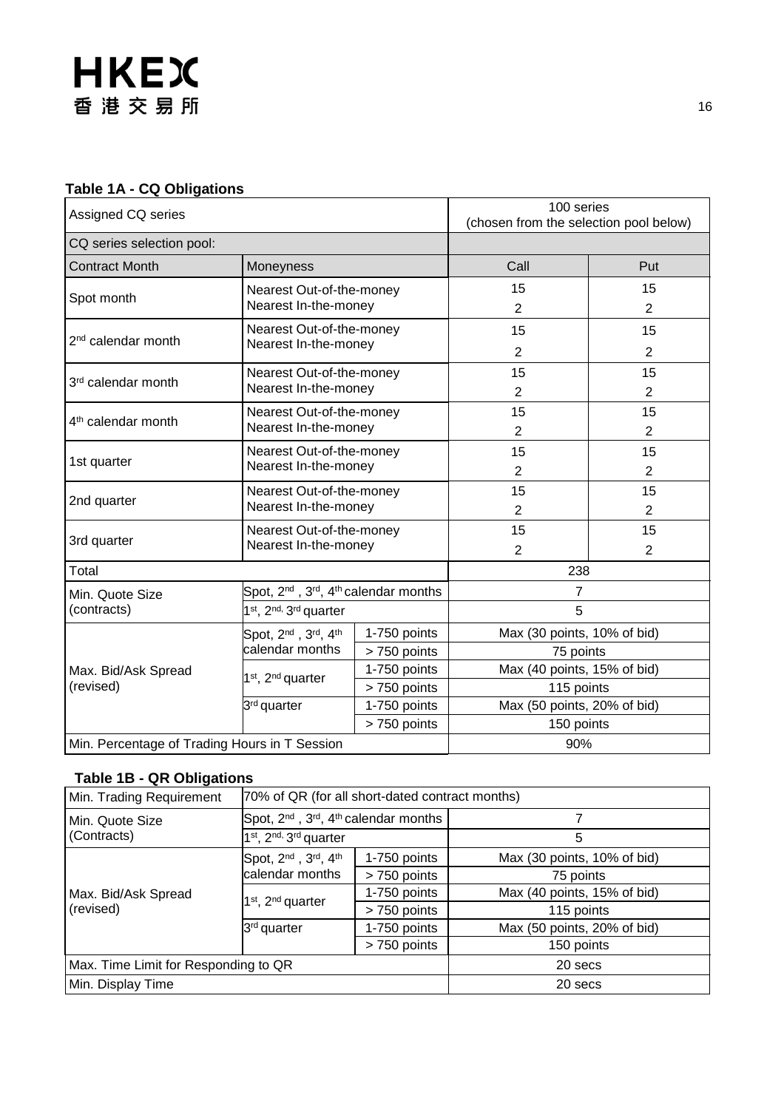#### **Table 1A - CQ Obligations**

| Assigned CQ series                                              |                                                                           | 100 series<br>(chosen from the selection pool below) |                                           |                             |  |
|-----------------------------------------------------------------|---------------------------------------------------------------------------|------------------------------------------------------|-------------------------------------------|-----------------------------|--|
| CQ series selection pool:                                       |                                                                           |                                                      |                                           |                             |  |
| <b>Contract Month</b>                                           | Moneyness                                                                 |                                                      | Call                                      | Put                         |  |
| Spot month                                                      | Nearest Out-of-the-money                                                  |                                                      | 15                                        | 15                          |  |
|                                                                 | Nearest In-the-money                                                      |                                                      | $\overline{2}$                            | $\overline{2}$              |  |
| 2 <sup>nd</sup> calendar month                                  | Nearest Out-of-the-money                                                  |                                                      | 15                                        | 15                          |  |
|                                                                 | Nearest In-the-money                                                      |                                                      | $\overline{2}$                            | $\overline{2}$              |  |
| 3rd calendar month                                              | Nearest Out-of-the-money                                                  |                                                      | 15                                        | 15                          |  |
|                                                                 | Nearest In-the-money                                                      |                                                      | $\overline{2}$                            | $\overline{2}$              |  |
| 4 <sup>th</sup> calendar month                                  | Nearest Out-of-the-money                                                  |                                                      | 15                                        | 15                          |  |
|                                                                 | Nearest In-the-money                                                      |                                                      | $\overline{2}$                            | $\overline{2}$              |  |
| 1st quarter                                                     | Nearest Out-of-the-money                                                  |                                                      | 15                                        | 15                          |  |
|                                                                 | Nearest In-the-money                                                      |                                                      | $\overline{2}$                            | $\overline{2}$              |  |
| 2nd quarter                                                     |                                                                           | Nearest Out-of-the-money<br>Nearest In-the-money     |                                           | 15<br>$\overline{2}$        |  |
| Nearest Out-of-the-money<br>3rd quarter<br>Nearest In-the-money |                                                                           |                                                      | 15<br>$\overline{2}$                      | 15<br>$\overline{2}$        |  |
| Total                                                           |                                                                           | 238                                                  |                                           |                             |  |
| Min. Quote Size                                                 | Spot, 2 <sup>nd</sup> , 3 <sup>rd</sup> , 4 <sup>th</sup> calendar months |                                                      | 7                                         |                             |  |
| (contracts)                                                     | 1st, 2nd, 3rd quarter                                                     |                                                      | 5                                         |                             |  |
|                                                                 | Spot, 2 <sup>nd</sup> , 3 <sup>rd</sup> , 4 <sup>th</sup>                 | 1-750 points                                         | Max (30 points, 10% of bid)               |                             |  |
|                                                                 | calendar months                                                           | > 750 points                                         | 75 points                                 |                             |  |
| Max. Bid/Ask Spread                                             | 1 <sup>st</sup> , 2 <sup>nd</sup> quarter                                 | 1-750 points                                         |                                           | Max (40 points, 15% of bid) |  |
| (revised)                                                       |                                                                           | > 750 points                                         |                                           | 115 points                  |  |
|                                                                 | 3 <sup>rd</sup> quarter                                                   | 1-750 points<br>> 750 points                         | Max (50 points, 20% of bid)<br>150 points |                             |  |
| Min. Percentage of Trading Hours in T Session                   |                                                                           | 90%                                                  |                                           |                             |  |

### **Table 1B - QR Obligations**

| Min. Trading Requirement             | 70% of QR (for all short-dated contract months)                              |              |                             |  |
|--------------------------------------|------------------------------------------------------------------------------|--------------|-----------------------------|--|
| Min. Quote Size                      | Spot, 2 <sup>nd</sup> , 3 <sup>rd</sup> , 4 <sup>th</sup> calendar months    |              |                             |  |
| (Contracts)                          | 1 <sup>st</sup> , 2 <sup>nd,</sup> 3 <sup>rd</sup> quarter                   |              | 5                           |  |
|                                      | Spot, 2 <sup>nd</sup> , 3 <sup>rd</sup> , 4 <sup>th</sup><br>calendar months | 1-750 points | Max (30 points, 10% of bid) |  |
|                                      |                                                                              | > 750 points | 75 points                   |  |
| Max. Bid/Ask Spread                  | 1 <sup>st</sup> , 2 <sup>nd</sup> quarter                                    | 1-750 points | Max (40 points, 15% of bid) |  |
| (revised)                            |                                                                              | > 750 points | 115 points                  |  |
|                                      | 3 <sup>rd</sup> quarter                                                      | 1-750 points | Max (50 points, 20% of bid) |  |
|                                      |                                                                              | > 750 points | 150 points                  |  |
| Max. Time Limit for Responding to QR |                                                                              | 20 secs      |                             |  |
| Min. Display Time                    |                                                                              | 20 secs      |                             |  |